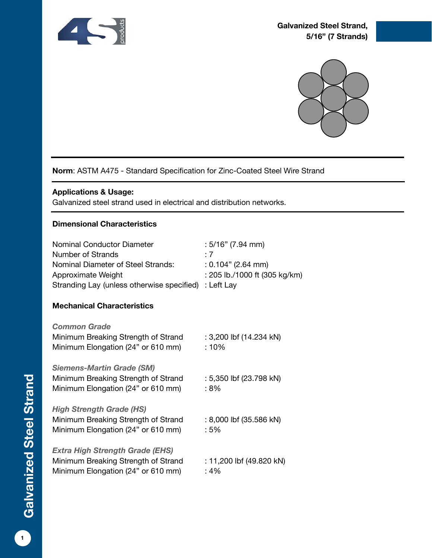



## **Norm**: ASTM A475 - Standard Specification for Zinc-Coated Steel Wire Strand

#### **Applications & Usage:**

Galvanized steel strand used in electrical and distribution networks.

#### **Dimensional Characteristics**

| Nominal Conductor Diameter<br><b>Number of Strands</b><br>Nominal Diameter of Steel Strands:<br>Approximate Weight | $:5/16"$ (7.94 mm)<br>$\cdot$ 7<br>$: 0.104"$ (2.64 mm)<br>: 205 lb./1000 ft (305 kg/km) |
|--------------------------------------------------------------------------------------------------------------------|------------------------------------------------------------------------------------------|
| Stranding Lay (unless otherwise specified)                                                                         | : Left Lay                                                                               |
| <b>Mechanical Characteristics</b>                                                                                  |                                                                                          |
| <b>Common Grade</b>                                                                                                |                                                                                          |
| Minimum Breaking Strength of Strand<br>Minimum Elongation (24" or 610 mm)                                          | : 3,200 lbf (14.234 kN)<br>: 10%                                                         |
| <b>Siemens-Martin Grade (SM)</b>                                                                                   |                                                                                          |
| Minimum Breaking Strength of Strand<br>Minimum Elongation (24" or 610 mm)                                          | : 5,350 lbf (23.798 kN)<br>: 8%                                                          |
| <b>High Strength Grade (HS)</b>                                                                                    |                                                                                          |
| Minimum Breaking Strength of Strand<br>Minimum Elongation (24" or 610 mm)                                          | : 8,000 lbf (35.586 kN)<br>:5%                                                           |
| <b>Extra High Strength Grade (EHS)</b>                                                                             |                                                                                          |
| Minimum Breaking Strength of Strand<br>Minimum Elongation (24" or 610 mm)                                          | : 11,200 lbf (49.820 kN)<br>: 4%                                                         |